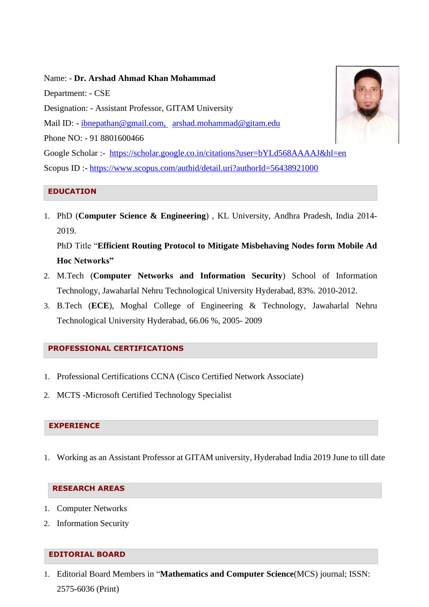Name: - **Dr. Arshad Ahmad Khan Mohammad** Department: - CSE Designation: - Assistant Professor, GITAM University Mail ID: - [ibnepathan@gmail.com,](mailto:ibnepathan@gmail.com) arshad.mohammad@gitam.edu Phone NO: - 91 8801600466 Google Scholar :- <https://scholar.google.co.in/citations?user=bYLd568AAAAJ&hl=en> Scopus ID :- <https://www.scopus.com/authid/detail.uri?authorId=56438921000>

## **EDUCATION**

1. PhD (**Computer Science & Engineering**) , KL University, Andhra Pradesh, India 2014- 2019.

PhD Title "**Efficient Routing Protocol to Mitigate Misbehaving Nodes form Mobile Ad Hoc Networks"**

- 2. M.Tech (**Computer Networks and Information Security**) School of Information Technology, Jawaharlal Nehru Technological University Hyderabad, 83%. 2010-2012.
- 3. B.Tech (**ECE**), Moghal College of Engineering & Technology, Jawaharlal Nehru Technological University Hyderabad, 66.06 %, 2005- 2009

## **PROFESSIONAL CERTIFICATIONS**

- 1. Professional Certifications CCNA (Cisco Certified Network Associate)
- 2. MCTS -Microsoft Certified Technology Specialist

# **EXPERIENCE**

1. Working as an Assistant Professor at GITAM university, Hyderabad India 2019 June to till date

# **RESEARCH AREAS**

- 1. Computer Networks
- 2. Information Security

# **EDITORIAL BOARD**

1. Editorial Board Members in "**Mathematics and Computer Science**(MCS) journal; ISSN: 2575-6036 (Print)

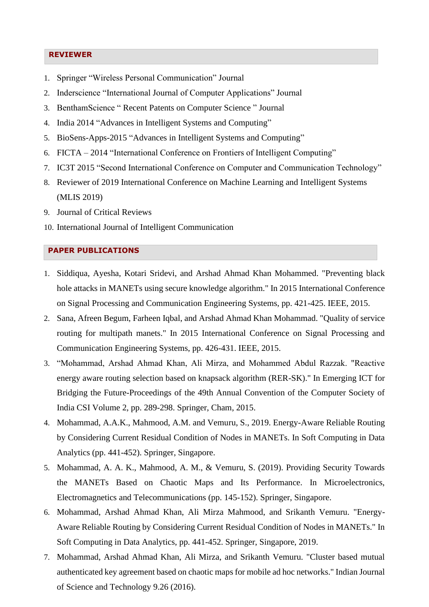#### **REVIEWER**

- 1. Springer "Wireless Personal Communication" Journal
- 2. Inderscience "International Journal of Computer Applications" Journal
- 3. BenthamScience " Recent Patents on Computer Science " Journal
- 4. India 2014 "Advances in Intelligent Systems and Computing"
- 5. BioSens-Apps-2015 "Advances in Intelligent Systems and Computing"
- 6. FICTA 2014 ["International Conference on Frontiers of Intelligent Computing"](https://www.researchgate.net/project/International-Conference-on-Frontiers-of-Intelligent-Computing-Theory-and-Applications-FICTA-2018)
- 7. IC3T 2015 "Second International Conference on Computer and Communication Technology"
- 8. Reviewer of 2019 International Conference on Machine Learning and Intelligent Systems (MLIS 2019)
- 9. Journal of Critical Reviews
- 10. International Journal of Intelligent Communication

### **PAPER PUBLICATIONS**

- 1. Siddiqua, Ayesha, Kotari Sridevi, and Arshad Ahmad Khan Mohammed. "Preventing black hole attacks in MANETs using secure knowledge algorithm." In 2015 International Conference on Signal Processing and Communication Engineering Systems, pp. 421-425. IEEE, 2015.
- 2. Sana, Afreen Begum, Farheen Iqbal, and Arshad Ahmad Khan Mohammad. "Quality of service routing for multipath manets." In 2015 International Conference on Signal Processing and Communication Engineering Systems, pp. 426-431. IEEE, 2015.
- 3. "Mohammad, Arshad Ahmad Khan, Ali Mirza, and Mohammed Abdul Razzak. "Reactive energy aware routing selection based on knapsack algorithm (RER-SK)." In Emerging ICT for Bridging the Future-Proceedings of the 49th Annual Convention of the Computer Society of India CSI Volume 2, pp. 289-298. Springer, Cham, 2015.
- 4. Mohammad, A.A.K., Mahmood, A.M. and Vemuru, S., 2019. Energy-Aware Reliable Routing by Considering Current Residual Condition of Nodes in MANETs. In Soft Computing in Data Analytics (pp. 441-452). Springer, Singapore.
- 5. Mohammad, A. A. K., Mahmood, A. M., & Vemuru, S. (2019). Providing Security Towards the MANETs Based on Chaotic Maps and Its Performance. In Microelectronics, Electromagnetics and Telecommunications (pp. 145-152). Springer, Singapore.
- 6. Mohammad, Arshad Ahmad Khan, Ali Mirza Mahmood, and Srikanth Vemuru. "Energy-Aware Reliable Routing by Considering Current Residual Condition of Nodes in MANETs." In Soft Computing in Data Analytics, pp. 441-452. Springer, Singapore, 2019.
- 7. Mohammad, Arshad Ahmad Khan, Ali Mirza, and Srikanth Vemuru. "Cluster based mutual authenticated key agreement based on chaotic maps for mobile ad hoc networks." Indian Journal of Science and Technology 9.26 (2016).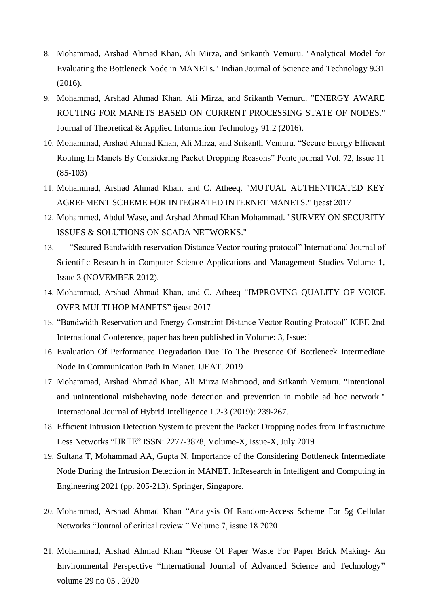- 8. Mohammad, Arshad Ahmad Khan, Ali Mirza, and Srikanth Vemuru. "Analytical Model for Evaluating the Bottleneck Node in MANETs." Indian Journal of Science and Technology 9.31 (2016).
- 9. Mohammad, Arshad Ahmad Khan, Ali Mirza, and Srikanth Vemuru. "ENERGY AWARE ROUTING FOR MANETS BASED ON CURRENT PROCESSING STATE OF NODES." Journal of Theoretical & Applied Information Technology 91.2 (2016).
- 10. Mohammad, Arshad Ahmad Khan, Ali Mirza, and Srikanth Vemuru. "Secure Energy Efficient Routing In Manets By Considering Packet Dropping Reasons" Ponte journal Vol. 72, Issue 11 (85-103)
- 11. Mohammad, Arshad Ahmad Khan, and C. Atheeq. "MUTUAL AUTHENTICATED KEY AGREEMENT SCHEME FOR INTEGRATED INTERNET MANETS." Ijeast 2017
- 12. Mohammed, Abdul Wase, and Arshad Ahmad Khan Mohammad. "SURVEY ON SECURITY ISSUES & SOLUTIONS ON SCADA NETWORKS."
- 13. "Secured Bandwidth reservation Distance Vector routing protocol" International Journal of Scientific Research in Computer Science Applications and Management Studies Volume 1, Issue 3 (NOVEMBER 2012).
- 14. Mohammad, Arshad Ahmad Khan, and C. Atheeq ["IMPROVING QUALITY OF VOICE](https://www.researchgate.net/profile/Arshad_Ahmad_Mohammad/publication/313732151_IMPROVING_QUALITY_OF_VOICE_OVER_MULTI_HOP_MANETS/links/58a4560e92851cf0e3828612/IMPROVING-QUALITY-OF-VOICE-OVER-MULTI-HOP-MANETS.pdf)  [OVER](https://www.researchgate.net/profile/Arshad_Ahmad_Mohammad/publication/313732151_IMPROVING_QUALITY_OF_VOICE_OVER_MULTI_HOP_MANETS/links/58a4560e92851cf0e3828612/IMPROVING-QUALITY-OF-VOICE-OVER-MULTI-HOP-MANETS.pdf) [MULTI HOP MANETS"](https://www.researchgate.net/profile/Arshad_Ahmad_Mohammad/publication/313732151_IMPROVING_QUALITY_OF_VOICE_OVER_MULTI_HOP_MANETS/links/58a4560e92851cf0e3828612/IMPROVING-QUALITY-OF-VOICE-OVER-MULTI-HOP-MANETS.pdf) ijeast 2017
- 15. "Bandwidth Reservation and Energy Constraint Distance Vector Routing Protocol" ICEE 2nd International Conference, paper has been published in Volume: 3, Issue:1
- 16. Evaluation Of Performance Degradation Due To The Presence Of Bottleneck Intermediate Node In Communication Path In Manet. IJEAT. 2019
- 17. Mohammad, Arshad Ahmad Khan, Ali Mirza Mahmood, and Srikanth Vemuru. "Intentional and unintentional misbehaving node detection and prevention in mobile ad hoc network." International Journal of Hybrid Intelligence 1.2-3 (2019): 239-267.
- 18. Efficient Intrusion Detection System to prevent the Packet Dropping nodes from Infrastructure Less Networks "IJRTE" ISSN: 2277-3878, Volume-X, Issue-X, July 2019
- 19. Sultana T, Mohammad AA, Gupta N. Importance of the Considering Bottleneck Intermediate Node During the Intrusion Detection in MANET. InResearch in Intelligent and Computing in Engineering 2021 (pp. 205-213). Springer, Singapore.
- 20. Mohammad, Arshad Ahmad Khan "Analysis Of Random-Access Scheme For 5g Cellular Networks "Journal of critical review " Volume 7, issue 18 2020
- 21. Mohammad, Arshad Ahmad Khan "Reuse Of Paper Waste For Paper Brick Making- An Environmental Perspective "International Journal of Advanced Science and Technology" volume 29 no 05 , 2020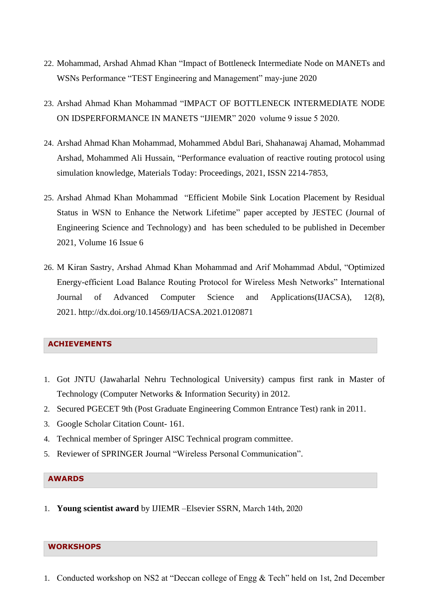- 22. Mohammad, Arshad Ahmad Khan "Impact of Bottleneck Intermediate Node on MANETs and WSNs Performance "TEST Engineering and Management" may-june 2020
- 23. Arshad Ahmad Khan Mohammad "IMPACT OF BOTTLENECK INTERMEDIATE NODE ON IDSPERFORMANCE IN MANETS "IJIEMR" 2020 volume 9 issue 5 2020.
- 24. Arshad Ahmad Khan Mohammad, Mohammed Abdul Bari, Shahanawaj Ahamad, Mohammad Arshad, Mohammed Ali Hussain, "Performance evaluation of reactive routing protocol using simulation knowledge, Materials Today: Proceedings, 2021, ISSN 2214-7853,
- 25. Arshad Ahmad Khan Mohammad "Efficient Mobile Sink Location Placement by Residual Status in WSN to Enhance the Network Lifetime" paper accepted by JESTEC (Journal of Engineering Science and Technology) and has been scheduled to be published in December 2021, Volume 16 Issue 6
- 26. M Kiran Sastry, Arshad Ahmad Khan Mohammad and Arif Mohammad Abdul, "Optimized Energy-efficient Load Balance Routing Protocol for Wireless Mesh Networks" International Journal of Advanced Computer Science and Applications(IJACSA), 12(8), 2021. [http://dx.doi.org/10.14569/IJACSA.2021.0120871](https://dx.doi.org/10.14569/IJACSA.2021.0120871)

### **ACHIEVEMENTS**

- 1. Got JNTU (Jawaharlal Nehru Technological University) campus first rank in Master of Technology (Computer Networks & Information Security) in 2012.
- 2. Secured PGECET 9th (Post Graduate Engineering Common Entrance Test) rank in 2011.
- 3. Google Scholar Citation Count- 161.
- 4. Technical member of Springer AISC Technical program committee.
- 5. Reviewer of SPRINGER Journal "Wireless Personal Communication".

#### **AWARDS**

1. **Young scientist award** by IJIEMR –Elsevier SSRN, March 14th, 2020

#### **WORKSHOPS**

1. Conducted workshop on NS2 at "Deccan college of Engg & Tech" held on 1st, 2nd December